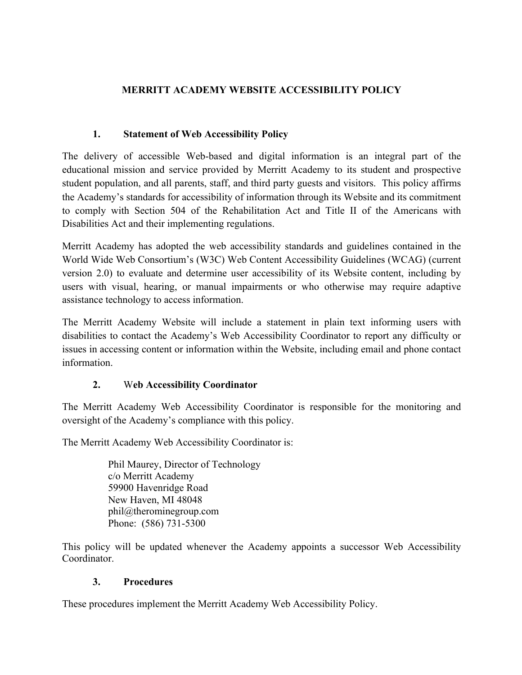## **MERRITT ACADEMY WEBSITE ACCESSIBILITY POLICY**

## **1. Statement of Web Accessibility Policy**

 The delivery of accessible Web-based and digital information is an integral part of the educational mission and service provided by Merritt Academy to its student and prospective student population, and all parents, staff, and third party guests and visitors. This policy affirms the Academy's standards for accessibility of information through its Website and its commitment to comply with Section 504 of the Rehabilitation Act and Title II of the Americans with Disabilities Act and their implementing regulations.

 Merritt Academy has adopted the web accessibility standards and guidelines contained in the version 2.0) to evaluate and determine user accessibility of its Website content, including by users with visual, hearing, or manual impairments or who otherwise may require adaptive assistance technology to access information. World Wide Web Consortium's (W3C) Web Content Accessibility Guidelines (WCAG) (current

 assistance technology to access information. The Merritt Academy Website will include a statement in plain text informing users with disabilities to contact the Academy's Web Accessibility Coordinator to report any difficulty or issues in accessing content or information within the Website, including email and phone contact information.

# **2.** W**eb Accessibility Coordinator**

 The Merritt Academy Web Accessibility Coordinator is responsible for the monitoring and oversight of the Academy's compliance with this policy.

The Merritt Academy Web Accessibility Coordinator is:

Phil Maurey, Director of Technology c/o Merritt Academy 59900 Havenridge Road New Haven, MI 48048 [phil@therominegroup.com](mailto:phil@therominegroup.com)  Phone: (586) 731-5300

 This policy will be updated whenever the Academy appoints a successor Web Accessibility Coordinator.

## **3. Procedures**

These procedures implement the Merritt Academy Web Accessibility Policy.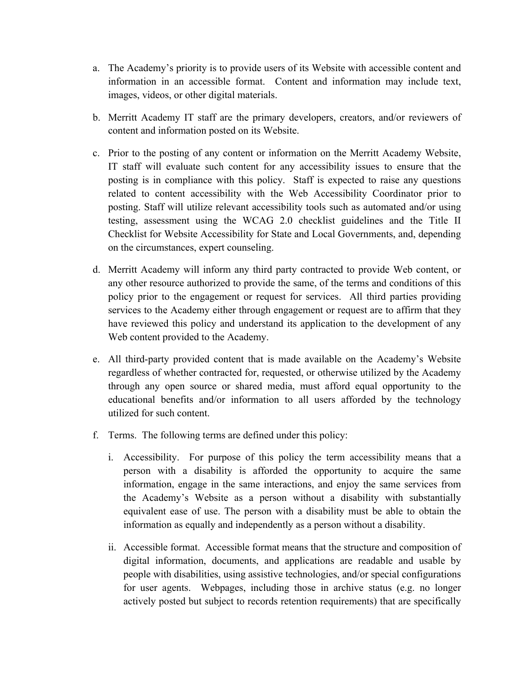- a. The Academy's priority is to provide users of its Website with accessible content and information in an accessible format. Content and information may include text, images, videos, or other digital materials.
- b. Merritt Academy IT staff are the primary developers, creators, and/or reviewers of content and information posted on its Website.
- c. Prior to the posting of any content or information on the Merritt Academy Website, IT staff will evaluate such content for any accessibility issues to ensure that the posting is in compliance with this policy. Staff is expected to raise any questions posting. Staff will utilize relevant accessibility tools such as automated and/or using testing, assessment using the WCAG 2.0 checklist guidelines and the Title II Checklist for Website Accessibility for State and Local Governments, and, depending related to content accessibility with the Web Accessibility Coordinator prior to on the circumstances, expert counseling.
- d. Merritt Academy will inform any third party contracted to provide Web content, or any other resource authorized to provide the same, of the terms and conditions of this policy prior to the engagement or request for services. All third parties providing services to the Academy either through engagement or request are to affirm that they have reviewed this policy and understand its application to the development of any Web content provided to the Academy.
- e. All third-party provided content that is made available on the Academy's Website regardless of whether contracted for, requested, or otherwise utilized by the Academy educational benefits and/or information to all users afforded by the technology through any open source or shared media, must afford equal opportunity to the utilized for such content.
- f. Terms. The following terms are defined under this policy:
	- i. Accessibility. For purpose of this policy the term accessibility means that a person with a disability is afforded the opportunity to acquire the same information, engage in the same interactions, and enjoy the same services from the Academy's Website as a person without a disability with substantially equivalent ease of use. The person with a disability must be able to obtain the information as equally and independently as a person without a disability.
	- ii. Accessible format. Accessible format means that the structure and composition of digital information, documents, and applications are readable and usable by for user agents. Webpages, including those in archive status (e.g. no longer actively posted but subject to records retention requirements) that are specifically people with disabilities, using assistive technologies, and/or special configurations